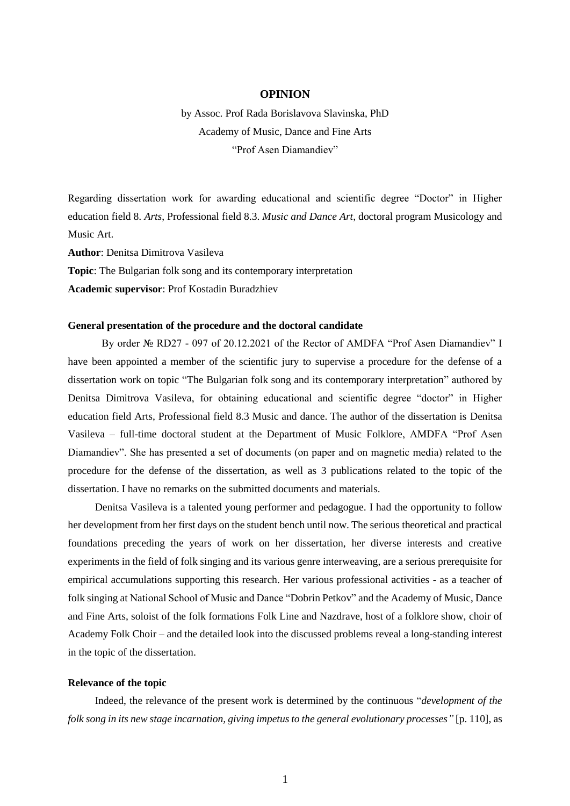# **OPINION**

by Assoc. Prof Rada Borislavova Slavinska, PhD Academy of Music, Dance and Fine Arts "Prof Asen Diamandiev"

Regarding dissertation work for awarding educational and scientific degree "Doctor" in Higher education field 8. *Arts*, Professional field 8.3. *Music and Dance Art*, doctoral program Musicology and Music Art.

**Author**: Denitsa Dimitrova Vasileva

**Topic**: The Bulgarian folk song and its contemporary interpretation

**Academic supervisor**: Prof Kostadin Buradzhiev

#### **General presentation of the procedure and the doctoral candidate**

By order № RD27 - 097 of 20.12.2021 of the Rector of AMDFA "Prof Asen Diamandiev" I have been appointed a member of the scientific jury to supervise a procedure for the defense of a dissertation work on topic "The Bulgarian folk song and its contemporary interpretation" authored by Denitsa Dimitrova Vasileva, for obtaining educational and scientific degree "doctor" in Higher education field Arts, Professional field 8.3 Music and dance. The author of the dissertation is Denitsa Vasileva – full-time doctoral student at the Department of Music Folklore, AMDFA "Prof Asen Diamandiev". She has presented a set of documents (on paper and on magnetic media) related to the procedure for the defense of the dissertation, as well as 3 publications related to the topic of the dissertation. I have no remarks on the submitted documents and materials.

Denitsa Vasileva is a talented young performer and pedagogue. I had the opportunity to follow her development from her first days on the student bench until now. The serious theoretical and practical foundations preceding the years of work on her dissertation, her diverse interests and creative experiments in the field of folk singing and its various genre interweaving, are a serious prerequisite for empirical accumulations supporting this research. Her various professional activities - as a teacher of folk singing at National School of Music and Dance "Dobrin Petkov" and the Academy of Music, Dance and Fine Arts, soloist of the folk formations Folk Line and Nazdrave, host of a folklore show, choir of Academy Folk Choir – and the detailed look into the discussed problems reveal a long-standing interest in the topic of the dissertation.

#### **Relevance of the topic**

Indeed, the relevance of the present work is determined by the continuous "*development of the folk song in its new stage incarnation, giving impetus to the general evolutionary processes"* [p. 110], as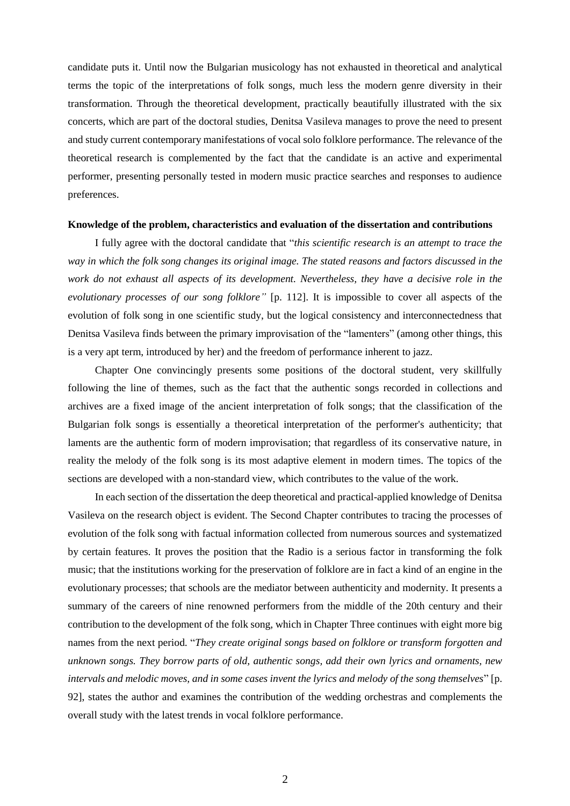candidate puts it. Until now the Bulgarian musicology has not exhausted in theoretical and analytical terms the topic of the interpretations of folk songs, much less the modern genre diversity in their transformation. Through the theoretical development, practically beautifully illustrated with the six concerts, which are part of the doctoral studies, Denitsa Vasileva manages to prove the need to present and study current contemporary manifestations of vocal solo folklore performance. The relevance of the theoretical research is complemented by the fact that the candidate is an active and experimental performer, presenting personally tested in modern music practice searches and responses to audience preferences.

# **Knowledge of the problem, characteristics and evaluation of the dissertation and contributions**

I fully agree with the doctoral candidate that "*this scientific research is an attempt to trace the way in which the folk song changes its original image. The stated reasons and factors discussed in the work do not exhaust all aspects of its development. Nevertheless, they have a decisive role in the evolutionary processes of our song folklore"* [p. 112]. It is impossible to cover all aspects of the evolution of folk song in one scientific study, but the logical consistency and interconnectedness that Denitsa Vasileva finds between the primary improvisation of the "lamenters" (among other things, this is a very apt term, introduced by her) and the freedom of performance inherent to jazz.

Chapter One convincingly presents some positions of the doctoral student, very skillfully following the line of themes, such as the fact that the authentic songs recorded in collections and archives are a fixed image of the ancient interpretation of folk songs; that the classification of the Bulgarian folk songs is essentially a theoretical interpretation of the performer's authenticity; that laments are the authentic form of modern improvisation; that regardless of its conservative nature, in reality the melody of the folk song is its most adaptive element in modern times. The topics of the sections are developed with a non-standard view, which contributes to the value of the work.

In each section of the dissertation the deep theoretical and practical-applied knowledge of Denitsa Vasileva on the research object is evident. The Second Chapter contributes to tracing the processes of evolution of the folk song with factual information collected from numerous sources and systematized by certain features. It proves the position that the Radio is a serious factor in transforming the folk music; that the institutions working for the preservation of folklore are in fact a kind of an engine in the evolutionary processes; that schools are the mediator between authenticity and modernity. It presents a summary of the careers of nine renowned performers from the middle of the 20th century and their contribution to the development of the folk song, which in Chapter Three continues with eight more big names from the next period. "*They create original songs based on folklore or transform forgotten and unknown songs. They borrow parts of old, authentic songs, add their own lyrics and ornaments, new intervals and melodic moves, and in some cases invent the lyrics and melody of the song themselves*" [p. 92], states the author and examines the contribution of the wedding orchestras and complements the overall study with the latest trends in vocal folklore performance.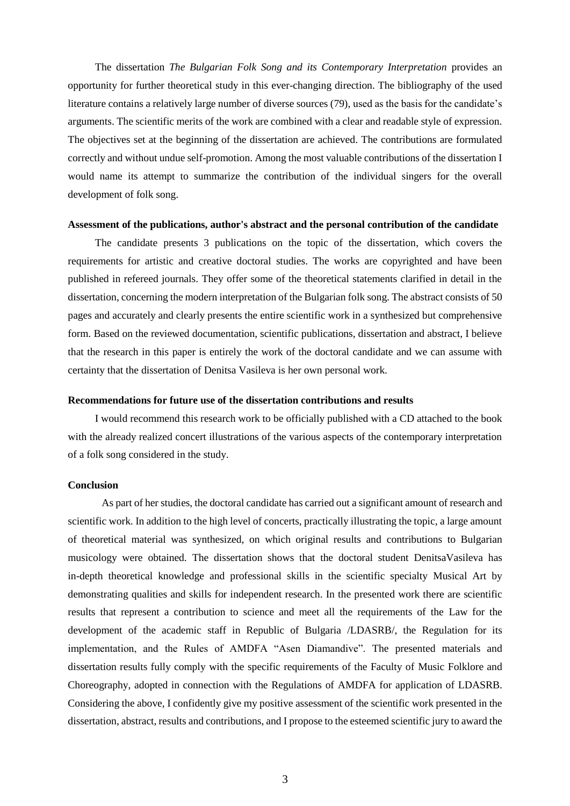The dissertation *The Bulgarian Folk Song and its Contemporary Interpretation* provides an opportunity for further theoretical study in this ever-changing direction. The bibliography of the used literature contains a relatively large number of diverse sources (79), used as the basis for the candidate's arguments. The scientific merits of the work are combined with a clear and readable style of expression. The objectives set at the beginning of the dissertation are achieved. The contributions are formulated correctly and without undue self-promotion. Among the most valuable contributions of the dissertation I would name its attempt to summarize the contribution of the individual singers for the overall development of folk song.

### **Assessment of the publications, author's abstract and the personal contribution of the candidate**

The candidate presents 3 publications on the topic of the dissertation, which covers the requirements for artistic and creative doctoral studies. The works are copyrighted and have been published in refereed journals. They offer some of the theoretical statements clarified in detail in the dissertation, concerning the modern interpretation of the Bulgarian folk song. The abstract consists of 50 pages and accurately and clearly presents the entire scientific work in a synthesized but comprehensive form. Based on the reviewed documentation, scientific publications, dissertation and abstract, I believe that the research in this paper is entirely the work of the doctoral candidate and we can assume with certainty that the dissertation of Denitsa Vasileva is her own personal work.

#### **Recommendations for future use of the dissertation contributions and results**

I would recommend this research work to be officially published with a CD attached to the book with the already realized concert illustrations of the various aspects of the contemporary interpretation of a folk song considered in the study.

# **Conclusion**

As part of her studies, the doctoral candidate has carried out a significant amount of research and scientific work. In addition to the high level of concerts, practically illustrating the topic, a large amount of theoretical material was synthesized, on which original results and contributions to Bulgarian musicology were obtained. The dissertation shows that the doctoral student DenitsaVasileva has in-depth theoretical knowledge and professional skills in the scientific specialty Musical Art by demonstrating qualities and skills for independent research. In the presented work there are scientific results that represent a contribution to science and meet all the requirements of the Law for the development of the academic staff in Republic of Bulgaria /LDASRB/, the Regulation for its implementation, and the Rules of AMDFA "Asen Diamandive". The presented materials and dissertation results fully comply with the specific requirements of the Faculty of Music Folklore and Choreography, adopted in connection with the Regulations of AMDFA for application of LDASRB. Considering the above, I confidently give my positive assessment of the scientific work presented in the dissertation, abstract, results and contributions, and I propose to the esteemed scientific jury to award the